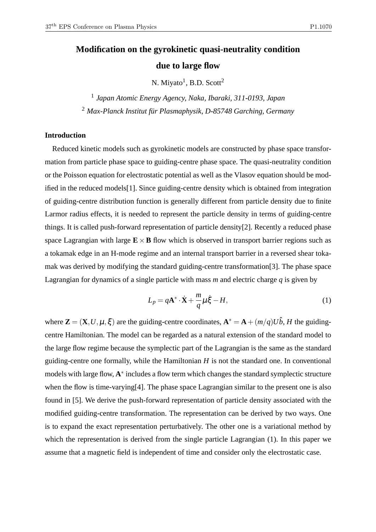# **Modification on the gyrokinetic quasi-neutrality condition due to large flow**

N. Miyato<sup>1</sup>, B.D. Scott<sup>2</sup>

1 *Japan Atomic Energy Agency, Naka, Ibaraki, 311-0193, Japan* <sup>2</sup> *Max-Planck Institut für Plasmaphysik, D-85748 Garching, Germany*

## **Introduction**

Reduced kinetic models such as gyrokinetic models are constructed by phase space transformation from particle phase space to guiding-centre phase space. The quasi-neutrality condition or the Poisson equation for electrostatic potential as well as the Vlasov equation should be modified in the reduced models[1]. Since guiding-centre density which is obtained from integration of guiding-centre distribution function is generally different from particle density due to finite Larmor radius effects, it is needed to represent the particle density in terms of guiding-centre things. It is called push-forward representation of particle density[2]. Recently a reduced phase space Lagrangian with large  $\mathbf{E} \times \mathbf{B}$  flow which is observed in transport barrier regions such as a tokamak edge in an H-mode regime and an internal transport barrier in a reversed shear tokamak was derived by modifying the standard guiding-centre transformation[3]. The phase space Lagrangian for dynamics of a single particle with mass *m* and electric charge *q* is given by

$$
L_p = q\mathbf{A}^* \cdot \dot{\mathbf{X}} + \frac{m}{q} \mu \dot{\xi} - H,\tag{1}
$$

where  $\mathbf{Z} = (\mathbf{X}, U, \mu, \xi)$  are the guiding-centre coordinates,  $\mathbf{A}^* = \mathbf{A} + (m/q)U\hat{b}$ , *H* the guidingcentre Hamiltonian. The model can be regarded as a natural extension of the standard model to the large flow regime because the symplectic part of the Lagrangian is the same as the standard guiding-centre one formally, while the Hamiltonian *H* is not the standard one. In conventional models with large flow, **A** ∗ includes a flow term which changes the standard symplectic structure when the flow is time-varying[4]. The phase space Lagrangian similar to the present one is also found in [5]. We derive the push-forward representation of particle density associated with the modified guiding-centre transformation. The representation can be derived by two ways. One is to expand the exact representation perturbatively. The other one is a variational method by which the representation is derived from the single particle Lagrangian (1). In this paper we assume that a magnetic field is independent of time and consider only the electrostatic case.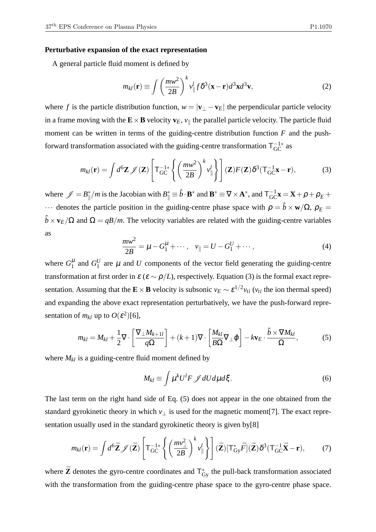#### **Perturbative expansion of the exact representation**

A general particle fluid moment is defined by

$$
m_{kl}(\mathbf{r}) \equiv \int \left(\frac{m w^2}{2B}\right)^k v_{\parallel}^l f \delta^3(\mathbf{x} - \mathbf{r}) d^3 \mathbf{x} d^3 \mathbf{v},\tag{2}
$$

where *f* is the particle distribution function,  $w = |\mathbf{v}_{\perp} - \mathbf{v}_{E}|$  the perpendicular particle velocity in a frame moving with the  $\mathbf{E}\times\mathbf{B}$  velocity  $\mathbf{v}_E$ ,  $v_{\parallel}$  the parallel particle velocity. The particle fluid moment can be written in terms of the guiding-centre distribution function *F* and the pushforward transformation associated with the guiding-centre transformation  $T_{GC}^{-1*}$  as

$$
m_{kl}(\mathbf{r}) = \int d^6 \mathbf{Z} \mathscr{J}(\mathbf{Z}) \left[ T_{\rm GC}^{-1*} \left\{ \left( \frac{m w^2}{2B} \right)^k v_{\parallel}^l \right\} \right] (\mathbf{Z}) F(\mathbf{Z}) \delta^3 (T_{\rm GC}^{-1} \mathbf{x} - \mathbf{r}), \tag{3}
$$

where  $\mathscr{J} = B_{\parallel}^*$  $\int_{\parallel}^{\ast}/m$  is the Jacobian with  $B_{\parallel}^{\ast} \equiv \hat{b} \cdot \mathbf{B}^*$  and  $\mathbf{B}^{\ast} \equiv \nabla \times \mathbf{A}^*$ , and  $T_{GC}^{-1} \mathbf{x} = \mathbf{X} + \rho + \rho_E + \rho_E$  $\cdots$  denotes the particle position in the guiding-centre phase space with  $\rho = \hat{b} \times \mathbf{w}/\Omega$ ,  $\rho_E =$  $\hat{b} \times \mathbf{v}_E/\Omega$  and  $\Omega = qB/m$ . The velocity variables are related with the guiding-centre variables as

$$
\frac{mw^2}{2B} = \mu - G_1^{\mu} + \cdots, \quad v_{\parallel} = U - G_1^U + \cdots,
$$
\n(4)

where  $G_1^{\mu}$  and  $G_1^{\nu}$  $\frac{U}{1}$  are  $\mu$  and *U* components of the vector field generating the guiding-centre transformation at first order in  $\varepsilon$  ( $\varepsilon \sim \rho/L$ ), respectively. Equation (3) is the formal exact representation. Assuming that the  $\mathbf{E} \times \mathbf{B}$  velocity is subsonic  $v_E \sim \varepsilon^{1/2} v_{ti}$  ( $v_{ti}$  the ion thermal speed) and expanding the above exact representation perturbatively, we have the push-forward representation of  $m_{kl}$  up to  $O(\varepsilon^2)[6]$ ,

$$
m_{kl} = M_{kl} + \frac{1}{2} \nabla \cdot \left[ \frac{\nabla_\perp M_{k+1l}}{q \Omega} \right] + (k+1) \nabla \cdot \left[ \frac{M_{kl}}{B \Omega} \nabla_\perp \varphi \right] - k \mathbf{v}_E \cdot \frac{\hat{b} \times \nabla M_{kl}}{\Omega}, \tag{5}
$$

where  $M_{kl}$  is a guiding-centre fluid moment defined by

$$
M_{kl} \equiv \int \mu^k U^l F \mathcal{J} dU d\mu d\xi. \tag{6}
$$

The last term on the right hand side of Eq. (5) does not appear in the one obtained from the standard gyrokinetic theory in which  $v_{\perp}$  is used for the magnetic moment[7]. The exact representation usually used in the standard gyrokinetic theory is given by[8]

$$
m_{kl}(\mathbf{r}) = \int d^6 \mathbf{Z} \mathscr{J}(\mathbf{\bar{Z}}) \left[ T_{\rm GC}^{-1*} \left\{ \left( \frac{m v_\perp^2}{2B} \right)^k v_{\parallel}^l \right\} \right] (\mathbf{\bar{Z}}) \left[ T_{\rm Gy}^* \bar{F} \right] (\mathbf{\bar{Z}}) \delta^3 (T_{\rm GC}^{-1} \mathbf{\bar{X}} - \mathbf{r}), \tag{7}
$$

where  $\bar{Z}$  denotes the gyro-centre coordinates and  $T_{\text{Gy}}^*$  the pull-back transformation associated with the transformation from the guiding-centre phase space to the gyro-centre phase space.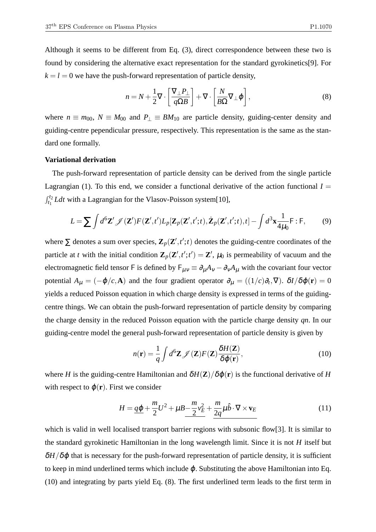Although it seems to be different from Eq. (3), direct correspondence between these two is found by considering the alternative exact representation for the standard gyrokinetics[9]. For  $k = l = 0$  we have the push-forward representation of particle density,

$$
n = N + \frac{1}{2} \nabla \cdot \left[ \frac{\nabla_{\perp} P_{\perp}}{q \Omega B} \right] + \nabla \cdot \left[ \frac{N}{B \Omega} \nabla_{\perp} \varphi \right],
$$
 (8)

where  $n \equiv m_{00}$ ,  $N \equiv M_{00}$  and  $P_{\perp} \equiv BM_{10}$  are particle density, guiding-center density and guiding-centre pependicular pressure, respectively. This representation is the same as the standard one formally.

#### **Variational derivation**

The push-forward representation of particle density can be derived from the single particle Lagrangian (1). To this end, we consider a functional derivative of the action functional  $I =$  $\int_{t_1}^{t_2} L dt$  with a Lagrangian for the Vlasov-Poisson system[10],

$$
L = \sum \int d^6 \mathbf{Z}' \mathcal{J}(\mathbf{Z}') F(\mathbf{Z}', t') L_p[\mathbf{Z}_p(\mathbf{Z}', t'; t), \dot{\mathbf{Z}}_p(\mathbf{Z}', t'; t), t] - \int d^3 \mathbf{x} \frac{1}{4\mu_0} F : F,
$$
 (9)

where  $\Sigma$  denotes a sum over species,  $\mathbf{Z}_p(\mathbf{Z}', t'; t)$  denotes the guiding-centre coordinates of the particle at *t* with the initial condition  $\mathbf{Z}_p(\mathbf{Z}', t'; t') = \mathbf{Z}'$ ,  $\mu_0$  is permeability of vacuum and the electromagnetic field tensor F is defined by  $F_{\mu\nu} \equiv \partial_{\mu}A_{\nu} - \partial_{\nu}A_{\mu}$  with the covariant four vector potential  $A_\mu = (-\varphi/c, A)$  and the four gradient operator  $\partial_\mu = ((1/c)\partial_t, \nabla)$ .  $\delta I/\delta \varphi(\mathbf{r}) = 0$ yields a reduced Poisson equation in which charge density is expressed in terms of the guidingcentre things. We can obtain the push-forward representation of particle density by comparing the charge density in the reduced Poisson equation with the particle charge density *qn*. In our guiding-centre model the general push-forward representation of particle density is given by

$$
n(\mathbf{r}) = \frac{1}{q} \int d^6 \mathbf{Z} \mathscr{J}(\mathbf{Z}) F(\mathbf{Z}) \frac{\delta H(\mathbf{Z})}{\delta \varphi(\mathbf{r})},
$$
(10)

where *H* is the guiding-centre Hamiltonian and  $\delta H(\mathbf{Z})/\delta \varphi(\mathbf{r})$  is the functional derivative of *H* with respect to  $\varphi(\mathbf{r})$ . First we consider

$$
H = \underline{q\varphi} + \frac{m}{2}U^2 + \mu B - \frac{m}{2}v_E^2 + \frac{m}{2q}\mu \hat{b} \cdot \nabla \times \mathbf{v}_E
$$
 (11)

which is valid in well localised transport barrier regions with subsonic flow[3]. It is similar to the standard gyrokinetic Hamiltonian in the long wavelength limit. Since it is not *H* itself but  $\delta H/\delta \varphi$  that is necessary for the push-forward representation of particle density, it is sufficient to keep in mind underlined terms which include  $\varphi$ . Substituting the above Hamiltonian into Eq. (10) and integrating by parts yield Eq. (8). The first underlined term leads to the first term in